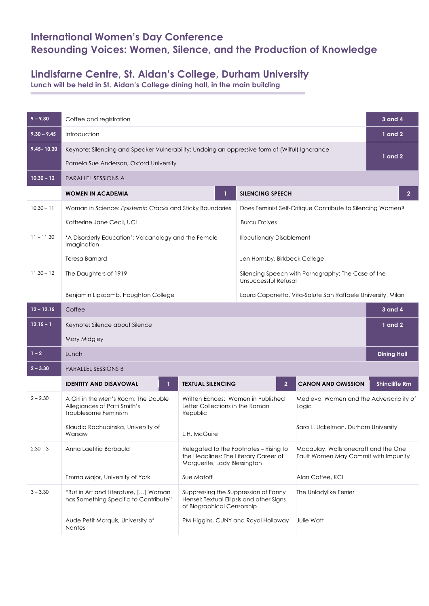## **International Women's Day Conference Resounding Voices: Women, Silence, and the Production of Knowledge**

## **Lindisfarne Centre, St. Aidan's College, Durham University**

**Lunch will be held in St. Aidan's College dining hall, in the main building**

| $9 - 9.30$     | Coffee and registration                                                                                                                  |                                                                                                                                          |                                                                            |                                                                              |                      |  |
|----------------|------------------------------------------------------------------------------------------------------------------------------------------|------------------------------------------------------------------------------------------------------------------------------------------|----------------------------------------------------------------------------|------------------------------------------------------------------------------|----------------------|--|
| $9.30 - 9.45$  | Introduction                                                                                                                             |                                                                                                                                          |                                                                            |                                                                              |                      |  |
| $9.45 - 10.30$ | Keynote: Silencing and Speaker Vulnerability: Undoing an oppressive form of (Wilful) Ignorance<br>Pamela Sue Anderson, Oxford University |                                                                                                                                          |                                                                            |                                                                              |                      |  |
| $10.30 - 12$   | <b>PARALLEL SESSIONS A</b>                                                                                                               |                                                                                                                                          |                                                                            |                                                                              |                      |  |
|                | <b>WOMEN IN ACADEMIA</b>                                                                                                                 |                                                                                                                                          | <b>SILENCING SPEECH</b>                                                    |                                                                              | $\overline{2}$       |  |
| $10.30 - 11$   | Woman in Science: Epistemic Cracks and Sticky Boundaries                                                                                 |                                                                                                                                          | Does Feminist Self-Critique Contribute to Silencing Women?                 |                                                                              |                      |  |
|                | Katherine Jane Cecil, UCL                                                                                                                |                                                                                                                                          | <b>Burcu Erciyes</b>                                                       |                                                                              |                      |  |
| $11 - 11.30$   | 'A Disorderly Education': Volcanology and the Female<br>Imagination                                                                      |                                                                                                                                          | <b>Illocutionary Disablement</b>                                           |                                                                              |                      |  |
|                | Teresa Barnard                                                                                                                           |                                                                                                                                          | Jen Hornsby, Birkbeck College                                              |                                                                              |                      |  |
| $11.30 - 12$   | The Daughters of 1919                                                                                                                    |                                                                                                                                          | Silencing Speech with Pornography: The Case of the<br>Unsuccessful Refusal |                                                                              |                      |  |
|                | Benjamin Lipscomb, Houghton College                                                                                                      | Laura Caponetto, Vita-Salute San Raffaele University, Milan                                                                              |                                                                            |                                                                              |                      |  |
| $12 - 12.15$   | Coffee<br><b>3 and 4</b>                                                                                                                 |                                                                                                                                          |                                                                            |                                                                              |                      |  |
| $12.15 - 1$    | Keynote: Silence about Silence                                                                                                           |                                                                                                                                          |                                                                            |                                                                              | $1$ and $2$          |  |
|                | Mary Midgley                                                                                                                             |                                                                                                                                          |                                                                            |                                                                              |                      |  |
| $1 - 2$        | <b>Dining Hall</b><br>Lunch                                                                                                              |                                                                                                                                          |                                                                            |                                                                              |                      |  |
| $2 - 3.30$     | <b>PARALLEL SESSIONS B</b>                                                                                                               |                                                                                                                                          |                                                                            |                                                                              |                      |  |
|                | <b>IDENTITY AND DISAVOWAL</b>                                                                                                            | <b>TEXTUAL SILENCING</b>                                                                                                                 | $\overline{2}$                                                             | <b>CANON AND OMISSION</b>                                                    | <b>Shincliffe Rm</b> |  |
| $2 - 2.30$     | A Girl in the Men's Room: The Double<br>Allegiances of Patti Smith's<br>Troublesome Feminism                                             | Written Echoes: Women in Published<br>Letter Collections in the Roman<br>Republic                                                        |                                                                            | Medieval Women and the Adversariality of<br>Logic                            |                      |  |
|                | Klaudia Rachubinska, University of<br>Warsaw                                                                                             | L.H. McGuire                                                                                                                             |                                                                            | Sara L. Uckelman, Durham University                                          |                      |  |
| $2.30 - 3$     | Anna Laetitia Barbauld                                                                                                                   | Relegated to the Footnotes - Rising to<br>the Headlines: The Literary Career of<br>Marguerite, Lady Blessington                          |                                                                            | Macaulay, Wollstonecraft and the One<br>Fault Women May Commit with Impunity |                      |  |
|                | Emma Major, University of York                                                                                                           | Sue Matoff                                                                                                                               |                                                                            | Alan Coffee, KCL                                                             |                      |  |
| $3 - 3.30$     | "But in Art and Literature, [] Woman<br>has Something Specific to Contribute"                                                            | Suppressing the Suppression of Fanny<br>The Unladylike Ferrier<br>Hensel: Textual Ellipsis and other Signs<br>of Biographical Censorship |                                                                            |                                                                              |                      |  |
|                | Aude Petit Marquis, University of<br><b>Nantes</b>                                                                                       |                                                                                                                                          | PM Higgins, CUNY and Royal Holloway                                        | Julie Watt                                                                   |                      |  |